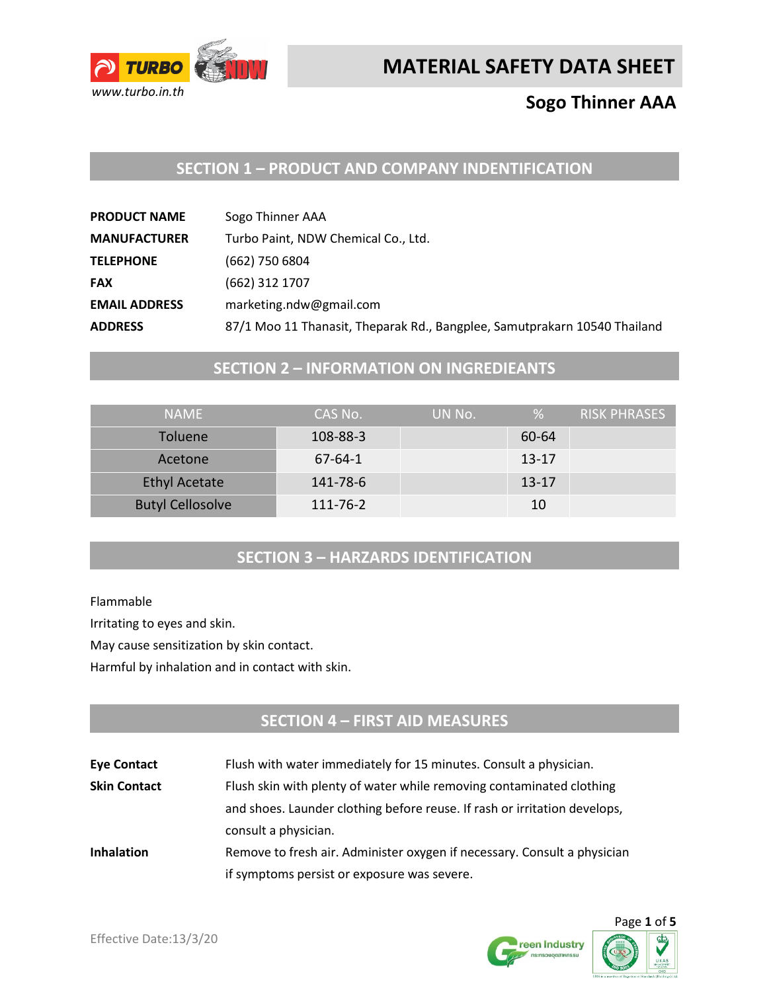

# **MATERIAL SAFETY DATA SHEET**

## **Sogo Thinner AAA**

## **SECTION 1 – PRODUCT AND COMPANY INDENTIFICATION**

| <b>PRODUCT NAME</b>  | Sogo Thinner AAA                                                          |
|----------------------|---------------------------------------------------------------------------|
| <b>MANUFACTURER</b>  | Turbo Paint, NDW Chemical Co., Ltd.                                       |
| <b>TELEPHONE</b>     | (662) 750 6804                                                            |
| <b>FAX</b>           | (662) 312 1707                                                            |
| <b>EMAIL ADDRESS</b> | marketing.ndw@gmail.com                                                   |
| <b>ADDRESS</b>       | 87/1 Moo 11 Thanasit, Theparak Rd., Bangplee, Samutprakarn 10540 Thailand |

## **SECTION 2 – INFORMATION ON INGREDIEANTS**

| <b>NAMF</b>             | CAS No.       | UN No. | %         | RISK PHRASES |
|-------------------------|---------------|--------|-----------|--------------|
| <b>Toluene</b>          | 108-88-3      |        | 60-64     |              |
| Acetone                 | $67 - 64 - 1$ |        | $13 - 17$ |              |
| <b>Ethyl Acetate</b>    | 141-78-6      |        | $13 - 17$ |              |
| <b>Butyl Cellosolve</b> | 111-76-2      |        | 10        |              |

## **SECTION 3 – HARZARDS IDENTIFICATION**

Flammable

Irritating to eyes and skin.

May cause sensitization by skin contact.

Harmful by inhalation and in contact with skin.

## **SECTION 4 – FIRST AID MEASURES**

| <b>Eye Contact</b>  | Flush with water immediately for 15 minutes. Consult a physician.         |  |
|---------------------|---------------------------------------------------------------------------|--|
| <b>Skin Contact</b> | Flush skin with plenty of water while removing contaminated clothing      |  |
|                     | and shoes. Launder clothing before reuse. If rash or irritation develops, |  |
|                     | consult a physician.                                                      |  |
| <b>Inhalation</b>   | Remove to fresh air. Administer oxygen if necessary. Consult a physician  |  |
|                     | if symptoms persist or exposure was severe.                               |  |



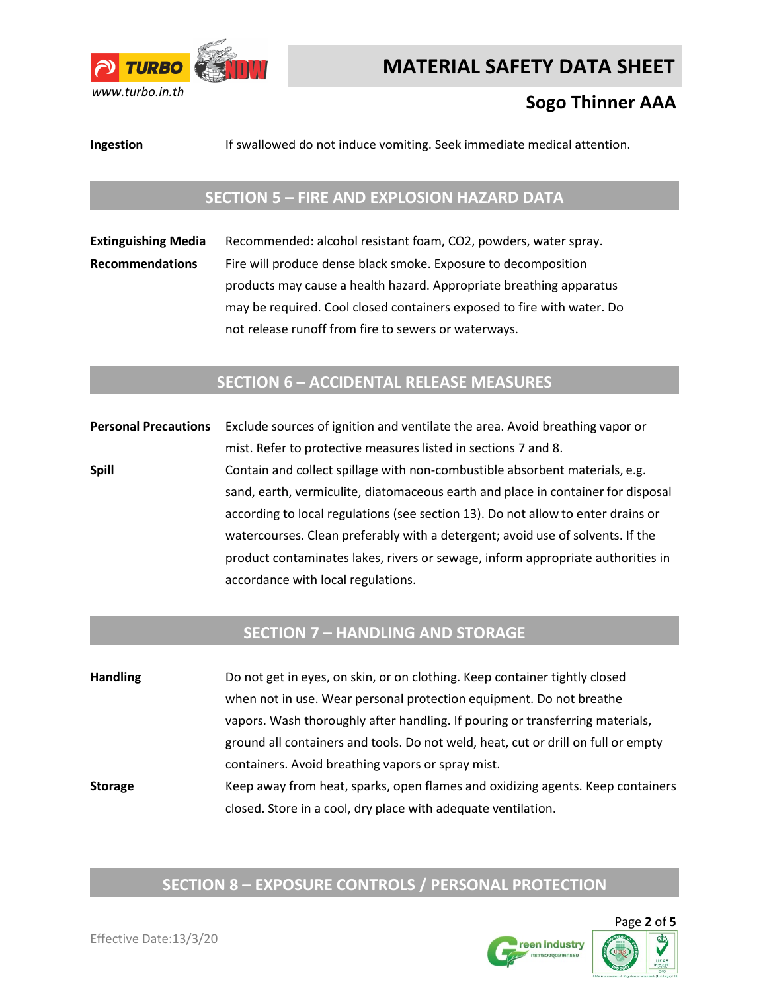

# **MATERIAL SAFETY DATA SHEET**

# **Sogo Thinner AAA**

**Ingestion** If swallowed do not induce vomiting. Seek immediate medical attention.

#### **SECTION 5 – FIRE AND EXPLOSION HAZARD DATA**

**Extinguishing Media** Recommended: alcohol resistant foam, CO2, powders, water spray. **Recommendations** Fire will produce dense black smoke. Exposure to decomposition products may cause a health hazard. Appropriate breathing apparatus may be required. Cool closed containers exposed to fire with water. Do not release runoff from fire to sewers or waterways.

#### **SECTION 6 – ACCIDENTAL RELEASE MEASURES**

**Personal Precautions** Exclude sources of ignition and ventilate the area. Avoid breathing vapor or mist. Refer to protective measures listed in sections 7 and 8. **Spill Spill** Contain and collect spillage with non-combustible absorbent materials, e.g. sand, earth, vermiculite, diatomaceous earth and place in container for disposal according to local regulations (see section 13). Do not allow to enter drains or watercourses. Clean preferably with a detergent; avoid use of solvents. If the product contaminates lakes, rivers or sewage, inform appropriate authorities in accordance with local regulations.

#### **SECTION 7 – HANDLING AND STORAGE**

**Handling** Do not get in eyes, on skin, or on clothing. Keep container tightly closed when not in use. Wear personal protection equipment. Do not breathe vapors. Wash thoroughly after handling. If pouring or transferring materials, ground all containers and tools. Do not weld, heat, cut or drill on full or empty containers. Avoid breathing vapors or spray mist. **Storage** Keep away from heat, sparks, open flames and oxidizing agents. Keep containers closed. Store in a cool, dry place with adequate ventilation.

## **SECTION 8 – EXPOSURE CONTROLS / PERSONAL PROTECTION**

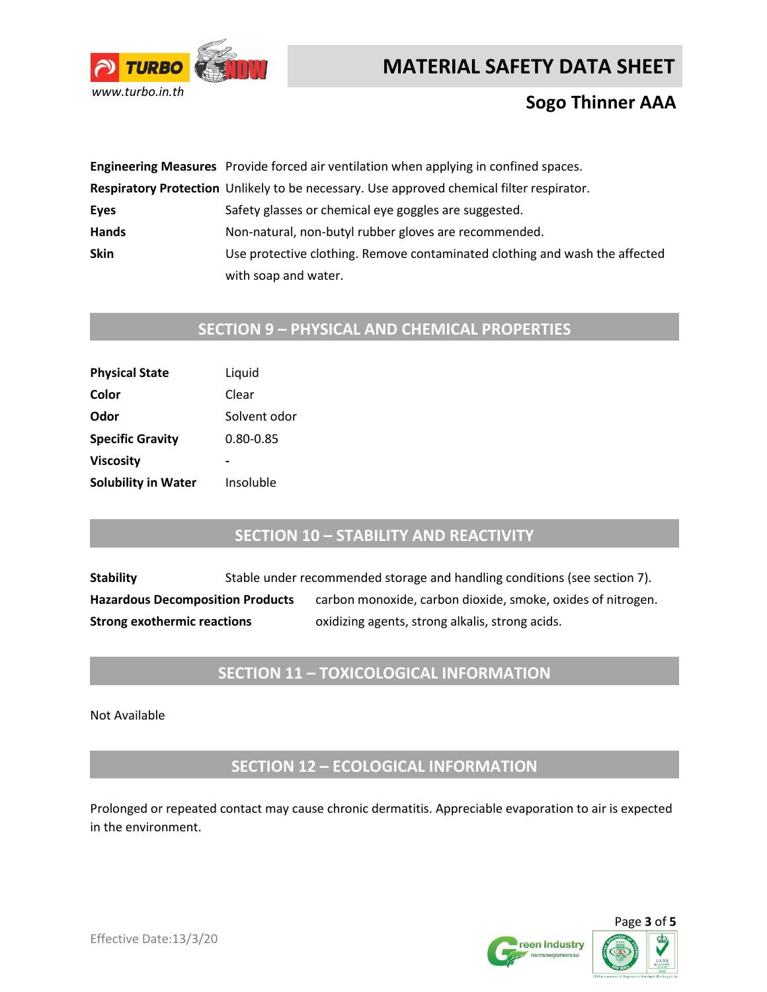



## **Sogo Thinner AAA**

|              | Engineering Measures Provide forced air ventilation when applying in confined spaces.     |
|--------------|-------------------------------------------------------------------------------------------|
|              | Respiratory Protection Unlikely to be necessary. Use approved chemical filter respirator. |
| Eyes         | Safety glasses or chemical eye goggles are suggested.                                     |
| <b>Hands</b> | Non-natural, non-butyl rubber gloves are recommended.                                     |
| <b>Skin</b>  | Use protective clothing. Remove contaminated clothing and wash the affected               |
|              | with soap and water.                                                                      |

# **SECTION 9 – PHYSICAL AND CHEMICAL PROPERTIES**

| Liquid       |
|--------------|
| Clear        |
| Solvent odor |
| 0.80-0.85    |
|              |
| Insoluble    |
|              |

#### **SECTION 10 – STABILITY AND REACTIVITY**

**Stability** Stable under recommended storage and handling conditions (see section 7). Hazardous Decomposition Products carbon monoxide, carbon dioxide, smoke, oxides of nitrogen. **Strong exothermic reactions** oxidizing agents, strong alkalis, strong acids.

## **SECTION 11 – TOXICOLOGICAL INFORMATION**

Not Available

**SECTION 12 – ECOLOGICAL INFORMATION**

Prolonged or repeated contact may cause chronic dermatitis. Appreciable evaporation to air is expected in the environment.



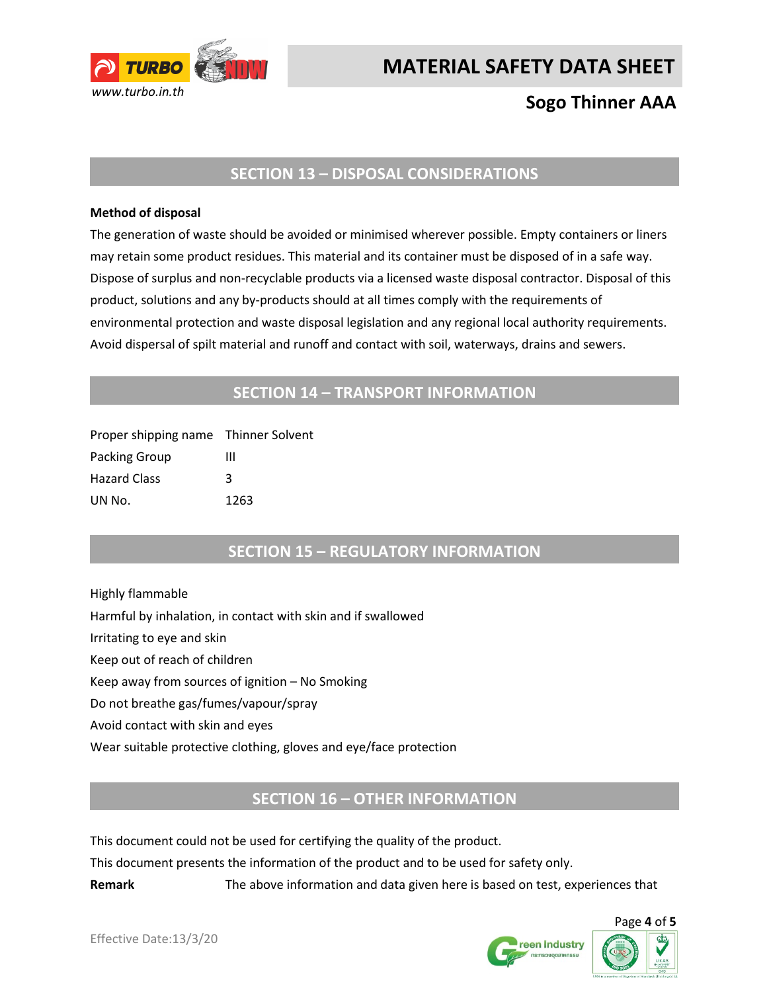

# **MATERIAL SAFETY DATA SHEET**

# **Sogo Thinner AAA**

#### **SECTION 13 – DISPOSAL CONSIDERATIONS**

#### **Method of disposal**

The generation of waste should be avoided or minimised wherever possible. Empty containers or liners may retain some product residues. This material and its container must be disposed of in a safe way. Dispose of surplus and non-recyclable products via a licensed waste disposal contractor. Disposal of this product, solutions and any by-products should at all times comply with the requirements of environmental protection and waste disposal legislation and any regional local authority requirements. Avoid dispersal of spilt material and runoff and contact with soil, waterways, drains and sewers.

#### **SECTION 14 – TRANSPORT INFORMATION**

| Proper shipping name Thinner Solvent |      |
|--------------------------------------|------|
| Packing Group                        | ш    |
| <b>Hazard Class</b>                  | κ    |
| UN No.                               | 1263 |

### **SECTION 15 – REGULATORY INFORMATION**

Highly flammable Harmful by inhalation, in contact with skin and if swallowed Irritating to eye and skin Keep out of reach of children Keep away from sources of ignition – No Smoking Do not breathe gas/fumes/vapour/spray Avoid contact with skin and eyes Wear suitable protective clothing, gloves and eye/face protection

### **SECTION 16 – OTHER INFORMATION**

This document could not be used for certifying the quality of the product.

This document presents the information of the product and to be used for safety only.

**Remark** The above information and data given here is based on test, experiences that